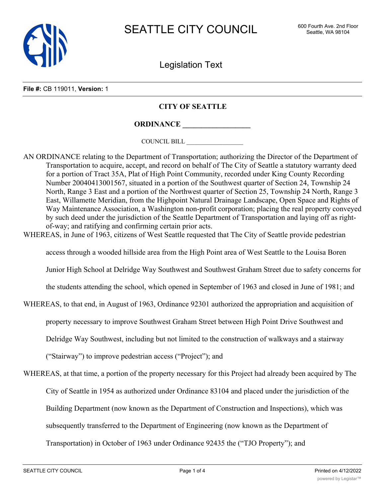

Legislation Text

**File #:** CB 119011, **Version:** 1

## **CITY OF SEATTLE**

**ORDINANCE \_\_\_\_\_\_\_\_\_\_\_\_\_\_\_\_\_\_**

COUNCIL BILL \_\_\_\_\_\_\_\_\_\_\_\_\_\_\_\_\_\_

- AN ORDINANCE relating to the Department of Transportation; authorizing the Director of the Department of Transportation to acquire, accept, and record on behalf of The City of Seattle a statutory warranty deed for a portion of Tract 35A, Plat of High Point Community, recorded under King County Recording Number 20040413001567, situated in a portion of the Southwest quarter of Section 24, Township 24 North, Range 3 East and a portion of the Northwest quarter of Section 25, Township 24 North, Range 3 East, Willamette Meridian, from the Highpoint Natural Drainage Landscape, Open Space and Rights of Way Maintenance Association, a Washington non-profit corporation; placing the real property conveyed by such deed under the jurisdiction of the Seattle Department of Transportation and laying off as rightof-way; and ratifying and confirming certain prior acts.
- WHEREAS, in June of 1963, citizens of West Seattle requested that The City of Seattle provide pedestrian

access through a wooded hillside area from the High Point area of West Seattle to the Louisa Boren

Junior High School at Delridge Way Southwest and Southwest Graham Street due to safety concerns for

the students attending the school, which opened in September of 1963 and closed in June of 1981; and

WHEREAS, to that end, in August of 1963, Ordinance 92301 authorized the appropriation and acquisition of

property necessary to improve Southwest Graham Street between High Point Drive Southwest and

Delridge Way Southwest, including but not limited to the construction of walkways and a stairway

("Stairway") to improve pedestrian access ("Project"); and

WHEREAS, at that time, a portion of the property necessary for this Project had already been acquired by The City of Seattle in 1954 as authorized under Ordinance 83104 and placed under the jurisdiction of the Building Department (now known as the Department of Construction and Inspections), which was subsequently transferred to the Department of Engineering (now known as the Department of

Transportation) in October of 1963 under Ordinance 92435 the ("TJO Property"); and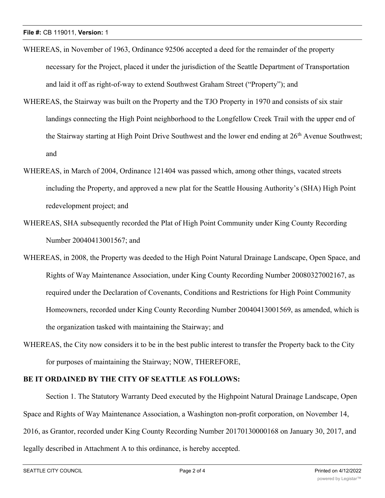- WHEREAS, in November of 1963, Ordinance 92506 accepted a deed for the remainder of the property necessary for the Project, placed it under the jurisdiction of the Seattle Department of Transportation and laid it off as right-of-way to extend Southwest Graham Street ("Property"); and
- WHEREAS, the Stairway was built on the Property and the TJO Property in 1970 and consists of six stair landings connecting the High Point neighborhood to the Longfellow Creek Trail with the upper end of the Stairway starting at High Point Drive Southwest and the lower end ending at 26th Avenue Southwest; and
- WHEREAS, in March of 2004, Ordinance 121404 was passed which, among other things, vacated streets including the Property, and approved a new plat for the Seattle Housing Authority's (SHA) High Point redevelopment project; and
- WHEREAS, SHA subsequently recorded the Plat of High Point Community under King County Recording Number 20040413001567; and
- WHEREAS, in 2008, the Property was deeded to the High Point Natural Drainage Landscape, Open Space, and Rights of Way Maintenance Association, under King County Recording Number 20080327002167, as required under the Declaration of Covenants, Conditions and Restrictions for High Point Community Homeowners, recorded under King County Recording Number 20040413001569, as amended, which is the organization tasked with maintaining the Stairway; and
- WHEREAS, the City now considers it to be in the best public interest to transfer the Property back to the City for purposes of maintaining the Stairway; NOW, THEREFORE,

## **BE IT ORDAINED BY THE CITY OF SEATTLE AS FOLLOWS:**

Section 1. The Statutory Warranty Deed executed by the Highpoint Natural Drainage Landscape, Open Space and Rights of Way Maintenance Association, a Washington non-profit corporation, on November 14, 2016, as Grantor, recorded under King County Recording Number 20170130000168 on January 30, 2017, and legally described in Attachment A to this ordinance, is hereby accepted.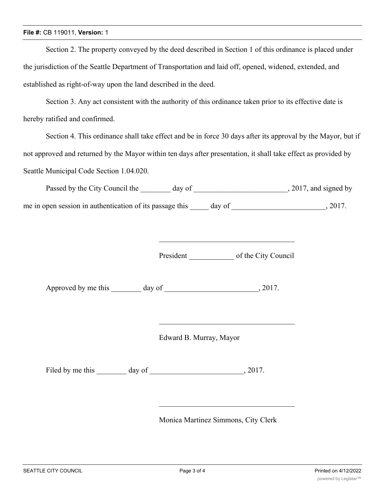## **File #:** CB 119011, **Version:** 1

Section 2. The property conveyed by the deed described in Section 1 of this ordinance is placed under the jurisdiction of the Seattle Department of Transportation and laid off, opened, widened, extended, and established as right-of-way upon the land described in the deed.

Section 3. Any act consistent with the authority of this ordinance taken prior to its effective date is hereby ratified and confirmed.

Section 4. This ordinance shall take effect and be in force 30 days after its approval by the Mayor, but if not approved and returned by the Mayor within ten days after presentation, it shall take effect as provided by Seattle Municipal Code Section 1.04.020.

| Passed by the City Council the                           | day of | , 2017, and signed by |
|----------------------------------------------------------|--------|-----------------------|
| me in open session in authentication of its passage this | day of | 2017                  |

President \_\_\_\_\_\_\_\_\_\_\_\_ of the City Council

Approved by me this day of 3017.

Edward B. Murray, Mayor

Filed by me this \_\_\_\_\_\_\_\_ day of \_\_\_\_\_\_\_\_\_\_\_\_\_\_\_\_\_\_\_\_\_\_\_\_\_, 2017.

Monica Martinez Simmons, City Clerk